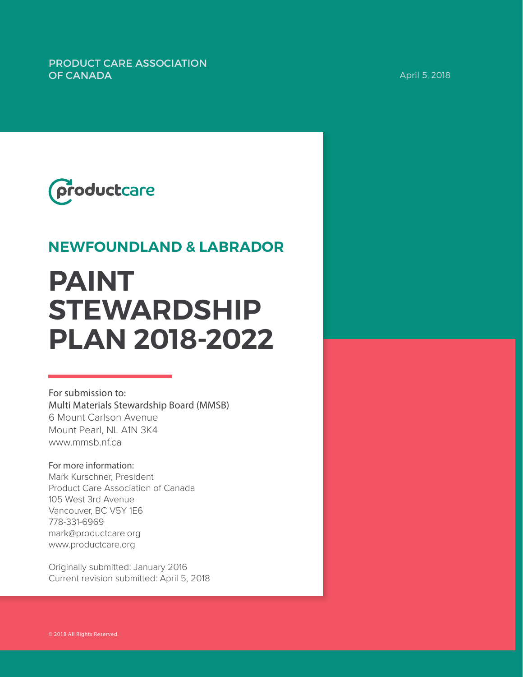PRODUCT CARE ASSOCIATION **OF CANADA April 5, 2018** 



# **NEWFOUNDLAND & LABRADOR**

# **PAINT STEWARDSHIP PLAN 2018-2022**

For submission to: Multi Materials Stewardship Board (MMSB) 6 Mount Carlson Avenue Mount Pearl, NL A1N 3K4 www.mmsb.nf.ca

For more information: Mark Kurschner, President Product Care Association of Canada 105 West 3rd Avenue Vancouver, BC V5Y 1E6 778-331-6969 mark@productcare.org www.productcare.org

Originally submitted: January 2016 Current revision submitted: April 5, 2018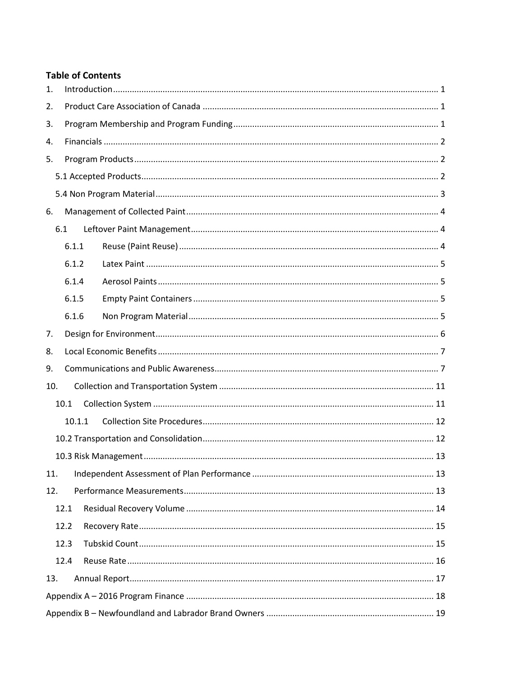#### **Table of Contents**

| 1.   |        |  |  |  |  |
|------|--------|--|--|--|--|
| 2.   |        |  |  |  |  |
| 3.   |        |  |  |  |  |
| 4.   |        |  |  |  |  |
| 5.   |        |  |  |  |  |
|      |        |  |  |  |  |
|      |        |  |  |  |  |
| 6.   |        |  |  |  |  |
|      | 6.1    |  |  |  |  |
|      | 6.1.1  |  |  |  |  |
|      | 6.1.2  |  |  |  |  |
|      | 6.1.4  |  |  |  |  |
|      | 6.1.5  |  |  |  |  |
|      | 6.1.6  |  |  |  |  |
| 7.   |        |  |  |  |  |
| 8.   |        |  |  |  |  |
| 9.   |        |  |  |  |  |
| 10.  |        |  |  |  |  |
|      | 10.1   |  |  |  |  |
|      | 10.1.1 |  |  |  |  |
|      |        |  |  |  |  |
|      |        |  |  |  |  |
| 11.  |        |  |  |  |  |
| 12.  |        |  |  |  |  |
|      | 12.1   |  |  |  |  |
|      | 12.2   |  |  |  |  |
|      | 12.3   |  |  |  |  |
| 12.4 |        |  |  |  |  |
| 13.  |        |  |  |  |  |
|      |        |  |  |  |  |
|      |        |  |  |  |  |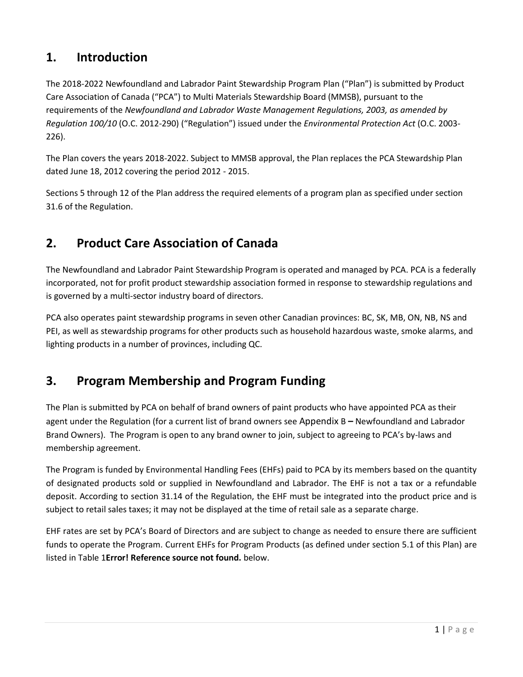# <span id="page-2-0"></span>**1. Introduction**

The 2018-2022 Newfoundland and Labrador Paint Stewardship Program Plan ("Plan") is submitted by Product Care Association of Canada ("PCA") to Multi Materials Stewardship Board (MMSB), pursuant to the requirements of the *Newfoundland and Labrador Waste Management Regulations, 2003, as amended by Regulation 100/10* (O.C. 2012-290) ("Regulation") issued under the *Environmental Protection Act* (O.C. 2003- 226).

The Plan covers the years 2018-2022. Subject to MMSB approval, the Plan replaces the PCA Stewardship Plan dated June 18, 2012 covering the period 2012 - 2015.

Section[s 5](#page-3-1) through [12](#page-14-2) of the Plan address the required elements of a program plan as specified under section 31.6 of the Regulation.

# <span id="page-2-1"></span>**2. Product Care Association of Canada**

The Newfoundland and Labrador Paint Stewardship Program is operated and managed by PCA. PCA is a federally incorporated, not for profit product stewardship association formed in response to stewardship regulations and is governed by a multi-sector industry board of directors.

PCA also operates paint stewardship programs in seven other Canadian provinces: BC, SK, MB, ON, NB, NS and PEI, as well as stewardship programs for other products such as household hazardous waste, smoke alarms, and lighting products in a number of provinces, including QC.

# <span id="page-2-2"></span>**3. Program Membership and Program Funding**

The Plan is submitted by PCA on behalf of brand owners of paint products who have appointed PCA as their agent under the Regulation (for a current list of brand owners see Appendix B **–** [Newfoundland and Labrador](#page-20-0)  [Brand Owners\)](#page-20-0). The Program is open to any brand owner to join, subject to agreeing to PCA's by-laws and membership agreement.

The Program is funded by Environmental Handling Fees (EHFs) paid to PCA by its members based on the quantity of designated products sold or supplied in Newfoundland and Labrador. The EHF is not a tax or a refundable deposit. According to section 31.14 of the Regulation, the EHF must be integrated into the product price and is subject to retail sales taxes; it may not be displayed at the time of retail sale as a separate charge.

EHF rates are set by PCA's Board of Directors and are subject to change as needed to ensure there are sufficient funds to operate the Program. Current EHFs for Program Products (as defined under section 5.1 of this Plan) are listed in Table 1**Error! Reference source not found.** below.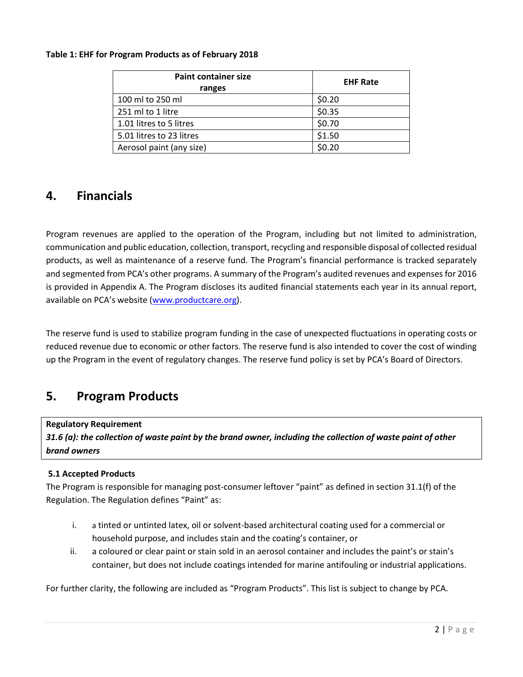#### **Table 1: EHF for Program Products as of February 2018**

| <b>Paint container size</b><br>ranges | <b>EHF Rate</b> |
|---------------------------------------|-----------------|
| 100 ml to 250 ml                      | \$0.20          |
| 251 ml to 1 litre                     | \$0.35          |
| 1.01 litres to 5 litres               | \$0.70          |
| 5.01 litres to 23 litres              | \$1.50          |
| Aerosol paint (any size)              | \$0.20          |

### <span id="page-3-0"></span>**4. Financials**

Program revenues are applied to the operation of the Program, including but not limited to administration, communication and public education, collection, transport, recycling and responsible disposal of collected residual products, as well as maintenance of a reserve fund. The Program's financial performance is tracked separately and segmented from PCA's other programs. A summary of the Program's audited revenues and expenses for 2016 is provided in Appendix A. The Program discloses its audited financial statements each year in its annual report, available on PCA's website ([www.productcare.org\)](http://www.productcare.org/).

The reserve fund is used to stabilize program funding in the case of unexpected fluctuations in operating costs or reduced revenue due to economic or other factors. The reserve fund is also intended to cover the cost of winding up the Program in the event of regulatory changes. The reserve fund policy is set by PCA's Board of Directors.

### <span id="page-3-1"></span>**5. Program Products**

#### **Regulatory Requirement**

*31.6 (a): the collection of waste paint by the brand owner, including the collection of waste paint of other brand owners*

#### <span id="page-3-2"></span>**5.1 Accepted Products**

The Program is responsible for managing post-consumer leftover "paint" as defined in section 31.1(f) of the Regulation. The Regulation defines "Paint" as:

- i. a tinted or untinted latex, oil or solvent-based architectural coating used for a commercial or household purpose, and includes stain and the coating's container, or
- ii. a coloured or clear paint or stain sold in an aerosol container and includes the paint's or stain's container, but does not include coatings intended for marine antifouling or industrial applications.

For further clarity, the following are included as "Program Products". This list is subject to change by PCA.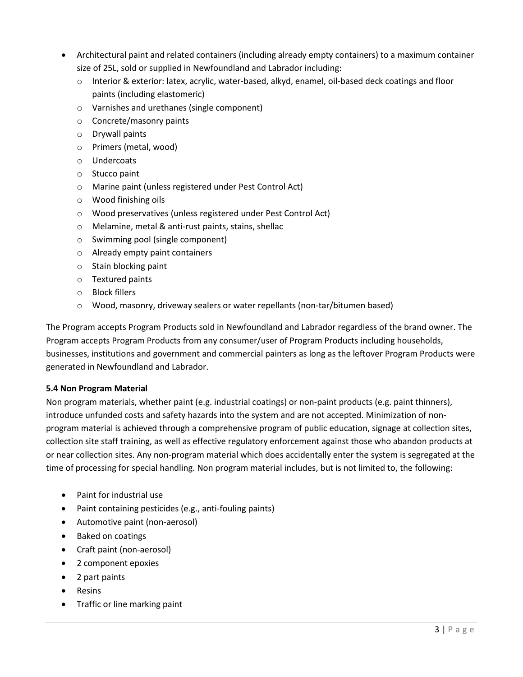- Architectural paint and related containers (including already empty containers) to a maximum container size of 25L, sold or supplied in Newfoundland and Labrador including:
	- o Interior & exterior: latex, acrylic, water-based, alkyd, enamel, oil-based deck coatings and floor paints (including elastomeric)
	- o Varnishes and urethanes (single component)
	- o Concrete/masonry paints
	- o Drywall paints
	- o Primers (metal, wood)
	- o Undercoats
	- o Stucco paint
	- o Marine paint (unless registered under Pest Control Act)
	- o Wood finishing oils
	- o Wood preservatives (unless registered under Pest Control Act)
	- o Melamine, metal & anti-rust paints, stains, shellac
	- o Swimming pool (single component)
	- o Already empty paint containers
	- o Stain blocking paint
	- o Textured paints
	- o Block fillers
	- o Wood, masonry, driveway sealers or water repellants (non-tar/bitumen based)

The Program accepts Program Products sold in Newfoundland and Labrador regardless of the brand owner. The Program accepts Program Products from any consumer/user of Program Products including households, businesses, institutions and government and commercial painters as long as the leftover Program Products were generated in Newfoundland and Labrador.

#### <span id="page-4-0"></span>**5.4 Non Program Material**

Non program materials, whether paint (e.g. industrial coatings) or non-paint products (e.g. paint thinners), introduce unfunded costs and safety hazards into the system and are not accepted. Minimization of nonprogram material is achieved through a comprehensive program of public education, signage at collection sites, collection site staff training, as well as effective regulatory enforcement against those who abandon products at or near collection sites. Any non-program material which does accidentally enter the system is segregated at the time of processing for special handling. Non program material includes, but is not limited to, the following:

- Paint for industrial use
- Paint containing pesticides (e.g., anti-fouling paints)
- Automotive paint (non-aerosol)
- Baked on coatings
- Craft paint (non-aerosol)
- 2 component epoxies
- 2 part paints
- Resins
- Traffic or line marking paint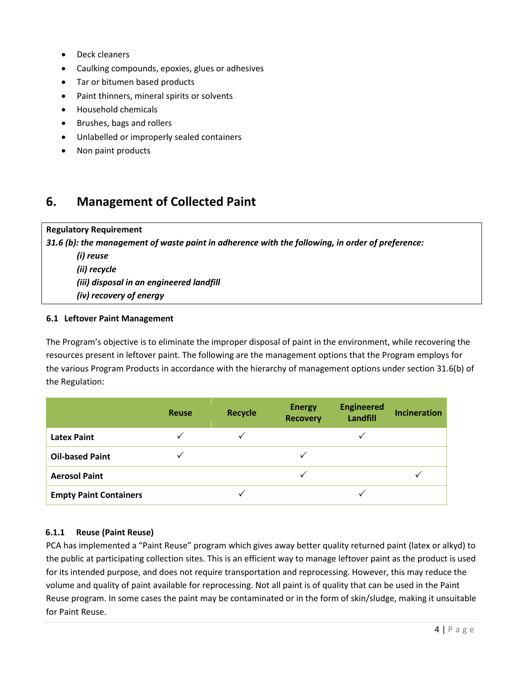- Deck cleaners
- Caulking compounds, epoxies, glues or adhesives
- Tar or bitumen based products
- Paint thinners, mineral spirits or solvents
- Household chemicals
- Brushes, bags and rollers
- Unlabelled or improperly sealed containers
- Non paint products

## <span id="page-5-0"></span>**6. Management of Collected Paint**

**Regulatory Requirement** *31.6 (b): the management of waste paint in adherence with the following, in order of preference: (i) reuse (ii) recycle (iii) disposal in an engineered landfill (iv) recovery of energy* 

#### <span id="page-5-1"></span>**6.1 Leftover Paint Management**

The Program's objective is to eliminate the improper disposal of paint in the environment, while recovering the resources present in leftover paint. The following are the management options that the Program employs for the various Program Products in accordance with the hierarchy of management options under section 31.6(b) of the Regulation:

|                               | <b>Reuse</b> | <b>Recycle</b> | <b>Energy</b><br><b>Recovery</b> | <b>Engineered</b><br>Landfill | <b>Incineration</b> |
|-------------------------------|--------------|----------------|----------------------------------|-------------------------------|---------------------|
| <b>Latex Paint</b>            |              |                |                                  |                               |                     |
| <b>Oil-based Paint</b>        |              |                |                                  |                               |                     |
| <b>Aerosol Paint</b>          |              |                |                                  |                               |                     |
| <b>Empty Paint Containers</b> |              |                |                                  |                               |                     |

#### <span id="page-5-2"></span>**6.1.1 Reuse (Paint Reuse)**

PCA has implemented a "Paint Reuse" program which gives away better quality returned paint (latex or alkyd) to the public at participating collection sites. This is an efficient way to manage leftover paint as the product is used for its intended purpose, and does not require transportation and reprocessing. However, this may reduce the volume and quality of paint available for reprocessing. Not all paint is of quality that can be used in the Paint Reuse program. In some cases the paint may be contaminated or in the form of skin/sludge, making it unsuitable for Paint Reuse.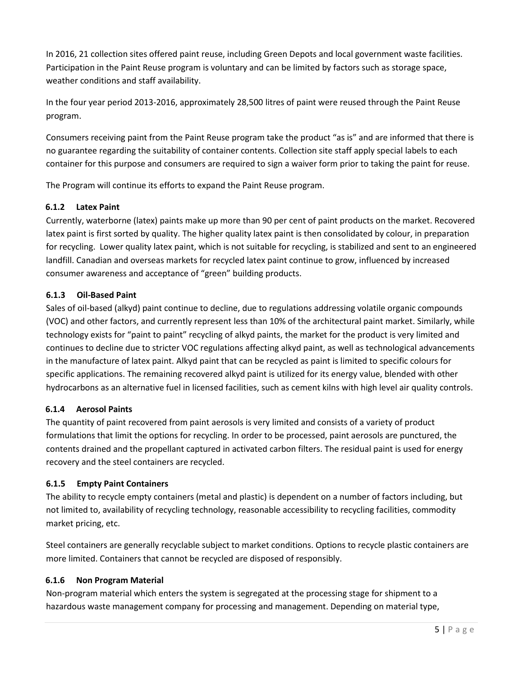In 2016, 21 collection sites offered paint reuse, including Green Depots and local government waste facilities. Participation in the Paint Reuse program is voluntary and can be limited by factors such as storage space, weather conditions and staff availability.

In the four year period 2013-2016, approximately 28,500 litres of paint were reused through the Paint Reuse program.

Consumers receiving paint from the Paint Reuse program take the product "as is" and are informed that there is no guarantee regarding the suitability of container contents. Collection site staff apply special labels to each container for this purpose and consumers are required to sign a waiver form prior to taking the paint for reuse.

The Program will continue its efforts to expand the Paint Reuse program.

#### <span id="page-6-0"></span>**6.1.2 Latex Paint**

Currently, waterborne (latex) paints make up more than 90 per cent of paint products on the market. Recovered latex paint is first sorted by quality. The higher quality latex paint is then consolidated by colour, in preparation for recycling. Lower quality latex paint, which is not suitable for recycling, is stabilized and sent to an engineered landfill. Canadian and overseas markets for recycled latex paint continue to grow, influenced by increased consumer awareness and acceptance of "green" building products.

#### **6.1.3 Oil-Based Paint**

Sales of oil-based (alkyd) paint continue to decline, due to regulations addressing volatile organic compounds (VOC) and other factors, and currently represent less than 10% of the architectural paint market. Similarly, while technology exists for "paint to paint" recycling of alkyd paints, the market for the product is very limited and continues to decline due to stricter VOC regulations affecting alkyd paint, as well as technological advancements in the manufacture of latex paint. Alkyd paint that can be recycled as paint is limited to specific colours for specific applications. The remaining recovered alkyd paint is utilized for its energy value, blended with other hydrocarbons as an alternative fuel in licensed facilities, such as cement kilns with high level air quality controls.

#### <span id="page-6-1"></span>**6.1.4 Aerosol Paints**

The quantity of paint recovered from paint aerosols is very limited and consists of a variety of product formulations that limit the options for recycling. In order to be processed, paint aerosols are punctured, the contents drained and the propellant captured in activated carbon filters. The residual paint is used for energy recovery and the steel containers are recycled.

#### <span id="page-6-2"></span>**6.1.5 Empty Paint Containers**

The ability to recycle empty containers (metal and plastic) is dependent on a number of factors including, but not limited to, availability of recycling technology, reasonable accessibility to recycling facilities, commodity market pricing, etc.

Steel containers are generally recyclable subject to market conditions. Options to recycle plastic containers are more limited. Containers that cannot be recycled are disposed of responsibly.

#### <span id="page-6-3"></span>**6.1.6 Non Program Material**

Non-program material which enters the system is segregated at the processing stage for shipment to a hazardous waste management company for processing and management. Depending on material type,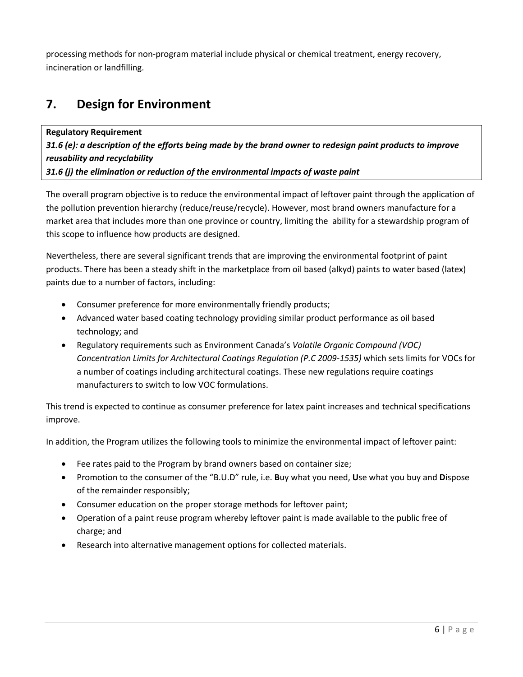processing methods for non-program material include physical or chemical treatment, energy recovery, incineration or landfilling.

# <span id="page-7-0"></span>**7. Design for Environment**

**Regulatory Requirement** *31.6 (e): a description of the efforts being made by the brand owner to redesign paint products to improve reusability and recyclability 31.6 (j) the elimination or reduction of the environmental impacts of waste paint*

The overall program objective is to reduce the environmental impact of leftover paint through the application of the pollution prevention hierarchy (reduce/reuse/recycle). However, most brand owners manufacture for a market area that includes more than one province or country, limiting the ability for a stewardship program of this scope to influence how products are designed.

Nevertheless, there are several significant trends that are improving the environmental footprint of paint products. There has been a steady shift in the marketplace from oil based (alkyd) paints to water based (latex) paints due to a number of factors, including:

- Consumer preference for more environmentally friendly products;
- Advanced water based coating technology providing similar product performance as oil based technology; and
- Regulatory requirements such as Environment Canada's *Volatile Organic Compound (VOC) Concentration Limits for Architectural Coatings Regulation (P.C 2009-1535)* which sets limits for VOCs for a number of coatings including architectural coatings. These new regulations require coatings manufacturers to switch to low VOC formulations.

This trend is expected to continue as consumer preference for latex paint increases and technical specifications improve.

In addition, the Program utilizes the following tools to minimize the environmental impact of leftover paint:

- Fee rates paid to the Program by brand owners based on container size;
- Promotion to the consumer of the "B.U.D" rule, i.e. **B**uy what you need, **U**se what you buy and **D**ispose of the remainder responsibly;
- Consumer education on the proper storage methods for leftover paint;
- Operation of a paint reuse program whereby leftover paint is made available to the public free of charge; and
- Research into alternative management options for collected materials.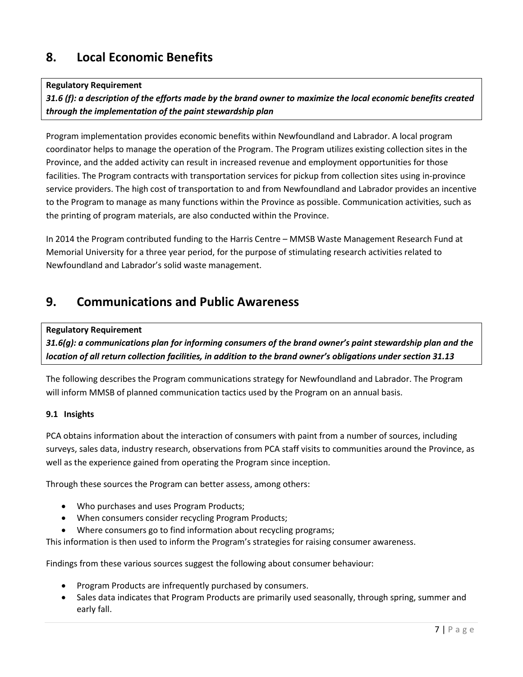# <span id="page-8-0"></span>**8. Local Economic Benefits**

#### **Regulatory Requirement**

*31.6 (f): a description of the efforts made by the brand owner to maximize the local economic benefits created through the implementation of the paint stewardship plan*

Program implementation provides economic benefits within Newfoundland and Labrador. A local program coordinator helps to manage the operation of the Program. The Program utilizes existing collection sites in the Province, and the added activity can result in increased revenue and employment opportunities for those facilities. The Program contracts with transportation services for pickup from collection sites using in-province service providers. The high cost of transportation to and from Newfoundland and Labrador provides an incentive to the Program to manage as many functions within the Province as possible. Communication activities, such as the printing of program materials, are also conducted within the Province.

<span id="page-8-2"></span>In 2014 the Program contributed funding to the Harris Centre – MMSB Waste Management Research Fund at Memorial University for a three year period, for the purpose of stimulating research activities related to Newfoundland and Labrador's solid waste management.

### <span id="page-8-1"></span>**9. Communications and Public Awareness**

#### **Regulatory Requirement**

*31.6(g): a communications plan for informing consumers of the brand owner's paint stewardship plan and the location of all return collection facilities, in addition to the brand owner's obligations under section 31.13*

The following describes the Program communications strategy for Newfoundland and Labrador. The Program will inform MMSB of planned communication tactics used by the Program on an annual basis.

#### **9.1 Insights**

PCA obtains information about the interaction of consumers with paint from a number of sources, including surveys, sales data, industry research, observations from PCA staff visits to communities around the Province, as well as the experience gained from operating the Program since inception.

Through these sources the Program can better assess, among others:

- Who purchases and uses Program Products;
- When consumers consider recycling Program Products;
- Where consumers go to find information about recycling programs;

This information is then used to inform the Program's strategies for raising consumer awareness.

Findings from these various sources suggest the following about consumer behaviour:

- Program Products are infrequently purchased by consumers.
- Sales data indicates that Program Products are primarily used seasonally, through spring, summer and early fall.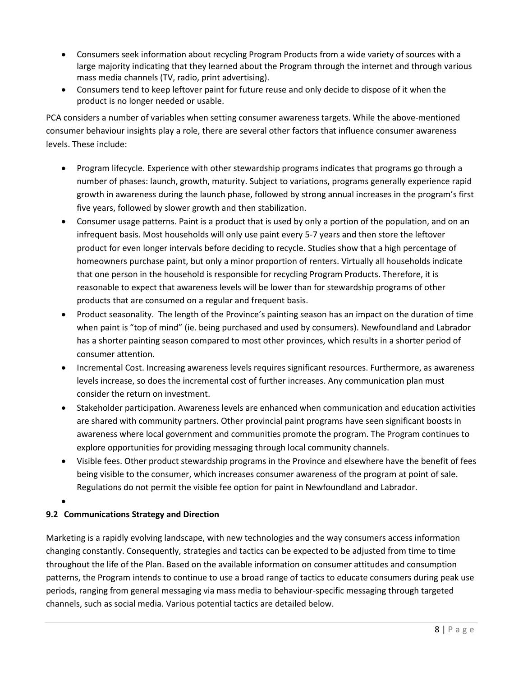- Consumers seek information about recycling Program Products from a wide variety of sources with a large majority indicating that they learned about the Program through the internet and through various mass media channels (TV, radio, print advertising).
- Consumers tend to keep leftover paint for future reuse and only decide to dispose of it when the product is no longer needed or usable.

PCA considers a number of variables when setting consumer awareness targets. While the above-mentioned consumer behaviour insights play a role, there are several other factors that influence consumer awareness levels. These include:

- Program lifecycle. Experience with other stewardship programs indicates that programs go through a number of phases: launch, growth, maturity. Subject to variations, programs generally experience rapid growth in awareness during the launch phase, followed by strong annual increases in the program's first five years, followed by slower growth and then stabilization.
- Consumer usage patterns. Paint is a product that is used by only a portion of the population, and on an infrequent basis. Most households will only use paint every 5-7 years and then store the leftover product for even longer intervals before deciding to recycle. Studies show that a high percentage of homeowners purchase paint, but only a minor proportion of renters. Virtually all households indicate that one person in the household is responsible for recycling Program Products. Therefore, it is reasonable to expect that awareness levels will be lower than for stewardship programs of other products that are consumed on a regular and frequent basis.
- Product seasonality. The length of the Province's painting season has an impact on the duration of time when paint is "top of mind" (ie. being purchased and used by consumers). Newfoundland and Labrador has a shorter painting season compared to most other provinces, which results in a shorter period of consumer attention.
- Incremental Cost. Increasing awareness levels requires significant resources. Furthermore, as awareness levels increase, so does the incremental cost of further increases. Any communication plan must consider the return on investment.
- Stakeholder participation. Awareness levels are enhanced when communication and education activities are shared with community partners. Other provincial paint programs have seen significant boosts in awareness where local government and communities promote the program. The Program continues to explore opportunities for providing messaging through local community channels.
- Visible fees. Other product stewardship programs in the Province and elsewhere have the benefit of fees being visible to the consumer, which increases consumer awareness of the program at point of sale. Regulations do not permit the visible fee option for paint in Newfoundland and Labrador.
- $\bullet$

### **9.2 Communications Strategy and Direction**

Marketing is a rapidly evolving landscape, with new technologies and the way consumers access information changing constantly. Consequently, strategies and tactics can be expected to be adjusted from time to time throughout the life of the Plan. Based on the available information on consumer attitudes and consumption patterns, the Program intends to continue to use a broad range of tactics to educate consumers during peak use periods, ranging from general messaging via mass media to behaviour-specific messaging through targeted channels, such as social media. Various potential tactics are detailed below.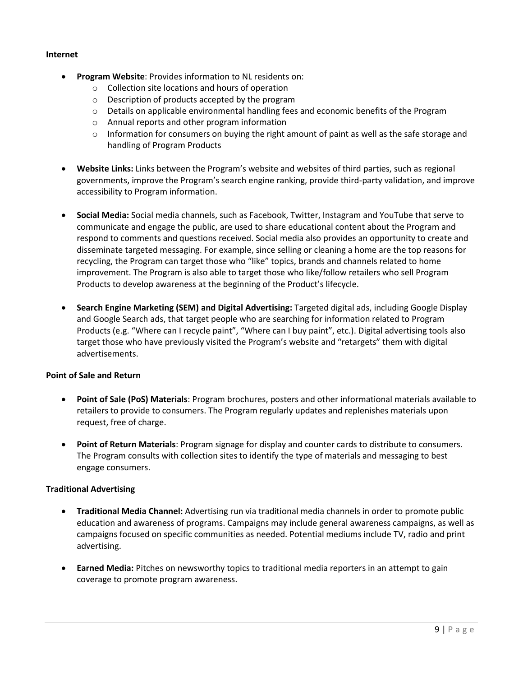#### **Internet**

- **Program Website**: Provides information to NL residents on:
	- o Collection site locations and hours of operation
	- o Description of products accepted by the program
	- o Details on applicable environmental handling fees and economic benefits of the Program
	- o Annual reports and other program information
	- $\circ$  Information for consumers on buying the right amount of paint as well as the safe storage and handling of Program Products
- **Website Links:** Links between the Program's website and websites of third parties, such as regional governments, improve the Program's search engine ranking, provide third-party validation, and improve accessibility to Program information.
- **Social Media:** Social media channels, such as Facebook, Twitter, Instagram and YouTube that serve to communicate and engage the public, are used to share educational content about the Program and respond to comments and questions received. Social media also provides an opportunity to create and disseminate targeted messaging. For example, since selling or cleaning a home are the top reasons for recycling, the Program can target those who "like" topics, brands and channels related to home improvement. The Program is also able to target those who like/follow retailers who sell Program Products to develop awareness at the beginning of the Product's lifecycle.
- **Search Engine Marketing (SEM) and Digital Advertising:** Targeted digital ads, including Google Display and Google Search ads, that target people who are searching for information related to Program Products (e.g. "Where can I recycle paint", "Where can I buy paint", etc.). Digital advertising tools also target those who have previously visited the Program's website and "retargets" them with digital advertisements.

#### **Point of Sale and Return**

- **Point of Sale (PoS) Materials**: Program brochures, posters and other informational materials available to retailers to provide to consumers. The Program regularly updates and replenishes materials upon request, free of charge.
- **Point of Return Materials**: Program signage for display and counter cards to distribute to consumers. The Program consults with collection sites to identify the type of materials and messaging to best engage consumers.

#### **Traditional Advertising**

- **Traditional Media Channel:** Advertising run via traditional media channels in order to promote public education and awareness of programs. Campaigns may include general awareness campaigns, as well as campaigns focused on specific communities as needed. Potential mediums include TV, radio and print advertising.
- **Earned Media:** Pitches on newsworthy topics to traditional media reporters in an attempt to gain coverage to promote program awareness.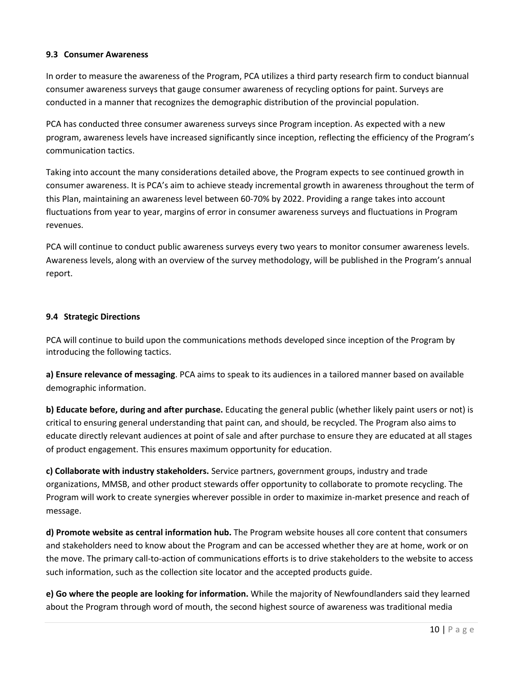#### **9.3 Consumer Awareness**

In order to measure the awareness of the Program, PCA utilizes a third party research firm to conduct biannual consumer awareness surveys that gauge consumer awareness of recycling options for paint. Surveys are conducted in a manner that recognizes the demographic distribution of the provincial population.

PCA has conducted three consumer awareness surveys since Program inception. As expected with a new program, awareness levels have increased significantly since inception, reflecting the efficiency of the Program's communication tactics.

Taking into account the many considerations detailed above, the Program expects to see continued growth in consumer awareness. It is PCA's aim to achieve steady incremental growth in awareness throughout the term of this Plan, maintaining an awareness level between 60-70% by 2022. Providing a range takes into account fluctuations from year to year, margins of error in consumer awareness surveys and fluctuations in Program revenues.

PCA will continue to conduct public awareness surveys every two years to monitor consumer awareness levels. Awareness levels, along with an overview of the survey methodology, will be published in the Program's annual report.

#### **9.4 Strategic Directions**

PCA will continue to build upon the communications methods developed since inception of the Program by introducing the following tactics.

**a) Ensure relevance of messaging**. PCA aims to speak to its audiences in a tailored manner based on available demographic information.

**b) Educate before, during and after purchase.** Educating the general public (whether likely paint users or not) is critical to ensuring general understanding that paint can, and should, be recycled. The Program also aims to educate directly relevant audiences at point of sale and after purchase to ensure they are educated at all stages of product engagement. This ensures maximum opportunity for education.

**c) Collaborate with industry stakeholders.** Service partners, government groups, industry and trade organizations, MMSB, and other product stewards offer opportunity to collaborate to promote recycling. The Program will work to create synergies wherever possible in order to maximize in-market presence and reach of message.

**d) Promote website as central information hub.** The Program website houses all core content that consumers and stakeholders need to know about the Program and can be accessed whether they are at home, work or on the move. The primary call-to-action of communications efforts is to drive stakeholders to the website to access such information, such as the collection site locator and the accepted products guide.

**e) Go where the people are looking for information.** While the majority of Newfoundlanders said they learned about the Program through word of mouth, the second highest source of awareness was traditional media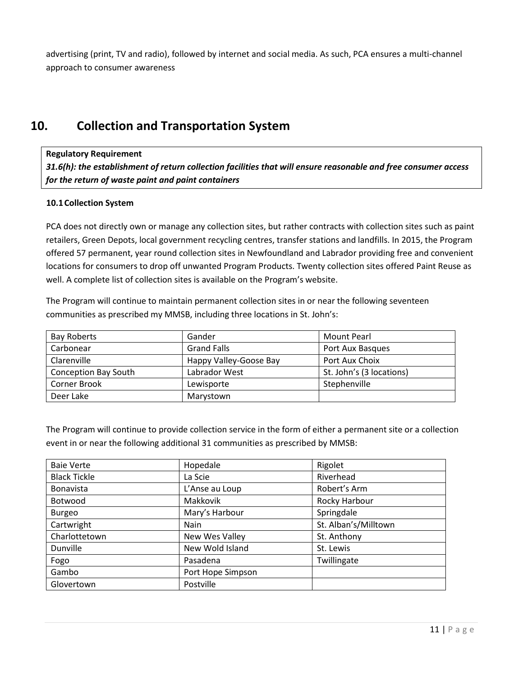advertising (print, TV and radio), followed by internet and social media. As such, PCA ensures a multi-channel approach to consumer awareness

# <span id="page-12-0"></span>**10. Collection and Transportation System**

#### **Regulatory Requirement**

*31.6(h): the establishment of return collection facilities that will ensure reasonable and free consumer access for the return of waste paint and paint containers*

#### <span id="page-12-1"></span>**10.1Collection System**

PCA does not directly own or manage any collection sites, but rather contracts with collection sites such as paint retailers, Green Depots, local government recycling centres, transfer stations and landfills. In 2015, the Program offered 57 permanent, year round collection sites in Newfoundland and Labrador providing free and convenient locations for consumers to drop off unwanted Program Products. Twenty collection sites offered Paint Reuse as well. A complete list of collection sites is available on the Program's website.

The Program will continue to maintain permanent collection sites in or near the following seventeen communities as prescribed my MMSB, including three locations in St. John's:

| <b>Bay Roberts</b>          | Gander                 | Mount Pearl              |  |
|-----------------------------|------------------------|--------------------------|--|
| Carbonear                   | <b>Grand Falls</b>     | Port Aux Basques         |  |
| Clarenville                 | Happy Valley-Goose Bay | Port Aux Choix           |  |
| <b>Conception Bay South</b> | Labrador West          | St. John's (3 locations) |  |
| Corner Brook                | Lewisporte             | Stephenville             |  |
| Deer Lake                   | Marystown              |                          |  |

The Program will continue to provide collection service in the form of either a permanent site or a collection event in or near the following additional 31 communities as prescribed by MMSB:

| <b>Baie Verte</b>   | Hopedale          | Rigolet              |  |
|---------------------|-------------------|----------------------|--|
| <b>Black Tickle</b> | La Scie           | Riverhead            |  |
| <b>Bonavista</b>    | L'Anse au Loup    | Robert's Arm         |  |
| Botwood             | Makkovik          | Rocky Harbour        |  |
| <b>Burgeo</b>       | Mary's Harbour    | Springdale           |  |
| Cartwright          | Nain              | St. Alban's/Milltown |  |
| Charlottetown       | New Wes Valley    | St. Anthony          |  |
| Dunville            | New Wold Island   | St. Lewis            |  |
| Fogo                | Pasadena          | Twillingate          |  |
| Gambo               | Port Hope Simpson |                      |  |
| Glovertown          | Postville         |                      |  |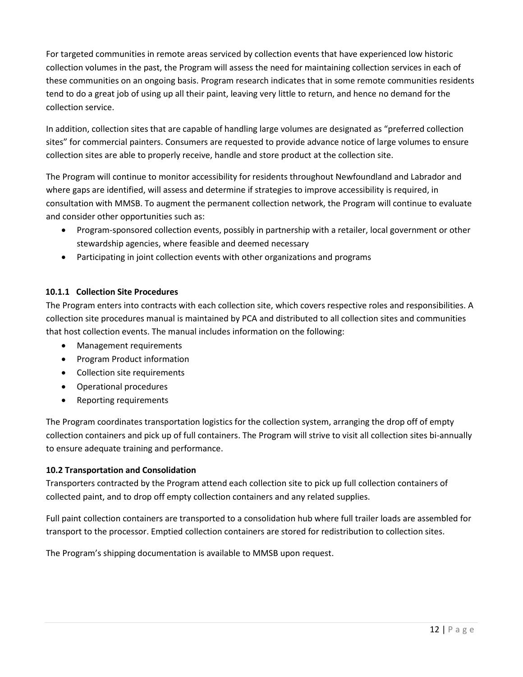For targeted communities in remote areas serviced by collection events that have experienced low historic collection volumes in the past, the Program will assess the need for maintaining collection services in each of these communities on an ongoing basis. Program research indicates that in some remote communities residents tend to do a great job of using up all their paint, leaving very little to return, and hence no demand for the collection service.

In addition, collection sites that are capable of handling large volumes are designated as "preferred collection sites" for commercial painters. Consumers are requested to provide advance notice of large volumes to ensure collection sites are able to properly receive, handle and store product at the collection site.

The Program will continue to monitor accessibility for residents throughout Newfoundland and Labrador and where gaps are identified, will assess and determine if strategies to improve accessibility is required, in consultation with MMSB. To augment the permanent collection network, the Program will continue to evaluate and consider other opportunities such as:

- Program-sponsored collection events, possibly in partnership with a retailer, local government or other stewardship agencies, where feasible and deemed necessary
- Participating in joint collection events with other organizations and programs

#### <span id="page-13-0"></span>**10.1.1 Collection Site Procedures**

The Program enters into contracts with each collection site, which covers respective roles and responsibilities. A collection site procedures manual is maintained by PCA and distributed to all collection sites and communities that host collection events. The manual includes information on the following:

- Management requirements
- Program Product information
- Collection site requirements
- Operational procedures
- Reporting requirements

The Program coordinates transportation logistics for the collection system, arranging the drop off of empty collection containers and pick up of full containers. The Program will strive to visit all collection sites bi-annually to ensure adequate training and performance.

#### <span id="page-13-1"></span>**10.2 Transportation and Consolidation**

Transporters contracted by the Program attend each collection site to pick up full collection containers of collected paint, and to drop off empty collection containers and any related supplies.

Full paint collection containers are transported to a consolidation hub where full trailer loads are assembled for transport to the processor. Emptied collection containers are stored for redistribution to collection sites.

The Program's shipping documentation is available to MMSB upon request.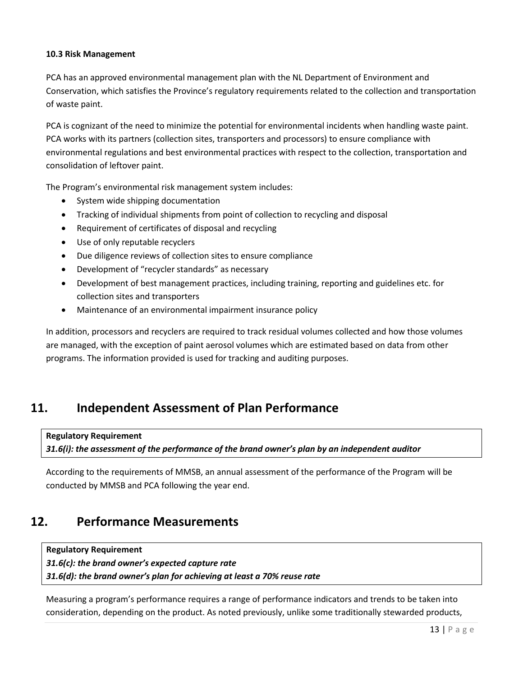#### <span id="page-14-0"></span>**10.3 Risk Management**

PCA has an approved environmental management plan with the NL Department of Environment and Conservation, which satisfies the Province's regulatory requirements related to the collection and transportation of waste paint.

PCA is cognizant of the need to minimize the potential for environmental incidents when handling waste paint. PCA works with its partners (collection sites, transporters and processors) to ensure compliance with environmental regulations and best environmental practices with respect to the collection, transportation and consolidation of leftover paint.

The Program's environmental risk management system includes:

- System wide shipping documentation
- Tracking of individual shipments from point of collection to recycling and disposal
- Requirement of certificates of disposal and recycling
- Use of only reputable recyclers
- Due diligence reviews of collection sites to ensure compliance
- Development of "recycler standards" as necessary
- Development of best management practices, including training, reporting and guidelines etc. for collection sites and transporters
- Maintenance of an environmental impairment insurance policy

In addition, processors and recyclers are required to track residual volumes collected and how those volumes are managed, with the exception of paint aerosol volumes which are estimated based on data from other programs. The information provided is used for tracking and auditing purposes.

### <span id="page-14-1"></span>**11. Independent Assessment of Plan Performance**

**Regulatory Requirement**

*31.6(i): the assessment of the performance of the brand owner's plan by an independent auditor*

According to the requirements of MMSB, an annual assessment of the performance of the Program will be conducted by MMSB and PCA following the year end.

### <span id="page-14-2"></span>**12. Performance Measurements**

**Regulatory Requirement** *31.6(c): the brand owner's expected capture rate 31.6(d): the brand owner's plan for achieving at least a 70% reuse rate*

Measuring a program's performance requires a range of performance indicators and trends to be taken into consideration, depending on the product. As noted previously, unlike some traditionally stewarded products,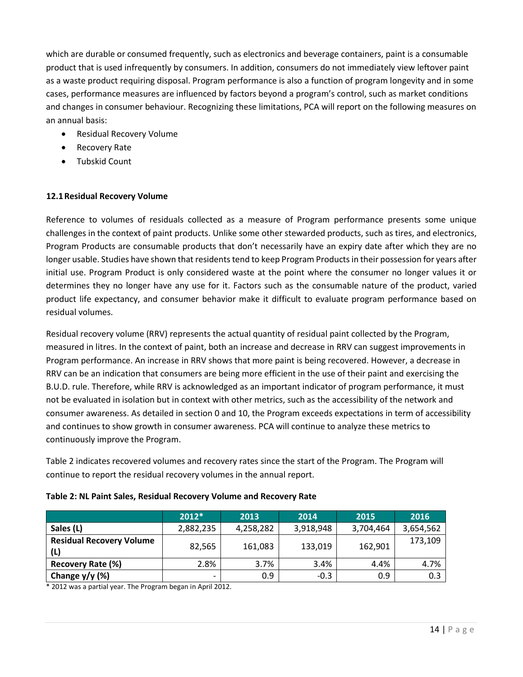which are durable or consumed frequently, such as electronics and beverage containers, paint is a consumable product that is used infrequently by consumers. In addition, consumers do not immediately view leftover paint as a waste product requiring disposal. Program performance is also a function of program longevity and in some cases, performance measures are influenced by factors beyond a program's control, such as market conditions and changes in consumer behaviour. Recognizing these limitations, PCA will report on the following measures on an annual basis:

- Residual Recovery Volume
- Recovery Rate
- Tubskid Count

#### <span id="page-15-0"></span>**12.1Residual Recovery Volume**

Reference to volumes of residuals collected as a measure of Program performance presents some unique challenges in the context of paint products. Unlike some other stewarded products, such as tires, and electronics, Program Products are consumable products that don't necessarily have an expiry date after which they are no longer usable. Studies have shown that residents tend to keep Program Products in their possession for years after initial use. Program Product is only considered waste at the point where the consumer no longer values it or determines they no longer have any use for it. Factors such as the consumable nature of the product, varied product life expectancy, and consumer behavior make it difficult to evaluate program performance based on residual volumes.

Residual recovery volume (RRV) represents the actual quantity of residual paint collected by the Program, measured in litres. In the context of paint, both an increase and decrease in RRV can suggest improvements in Program performance. An increase in RRV shows that more paint is being recovered. However, a decrease in RRV can be an indication that consumers are being more efficient in the use of their paint and exercising the B.U.D. rule. Therefore, while RRV is acknowledged as an important indicator of program performance, it must not be evaluated in isolation but in context with other metrics, such as the accessibility of the network and consumer awareness. As detailed in section [0](#page-8-2) an[d 10,](#page-12-0) the Program exceeds expectations in term of accessibility and continues to show growth in consumer awareness. PCA will continue to analyze these metrics to continuously improve the Program.

[Table 2](#page-15-1) indicates recovered volumes and recovery rates since the start of the Program. The Program will continue to report the residual recovery volumes in the annual report.

<span id="page-15-1"></span>

| Table 2: NL Paint Sales, Residual Recovery Volume and Recovery Rate |  |
|---------------------------------------------------------------------|--|
|---------------------------------------------------------------------|--|

|                                        | $2012*$                  | 2013      | 2014      | 2015      | 2016      |
|----------------------------------------|--------------------------|-----------|-----------|-----------|-----------|
| Sales (L)                              | 2,882,235                | 4,258,282 | 3,918,948 | 3,704,464 | 3,654,562 |
| <b>Residual Recovery Volume</b><br>(L) | 82,565                   | 161,083   | 133,019   | 162,901   | 173,109   |
| Recovery Rate (%)                      | 2.8%                     | 3.7%      | 3.4%      | 4.4%      | 4.7%      |
| Change $y/y$ (%)                       | $\overline{\phantom{0}}$ | 0.9       | $-0.3$    | 0.9       | 0.3       |

\* 2012 was a partial year. The Program began in April 2012.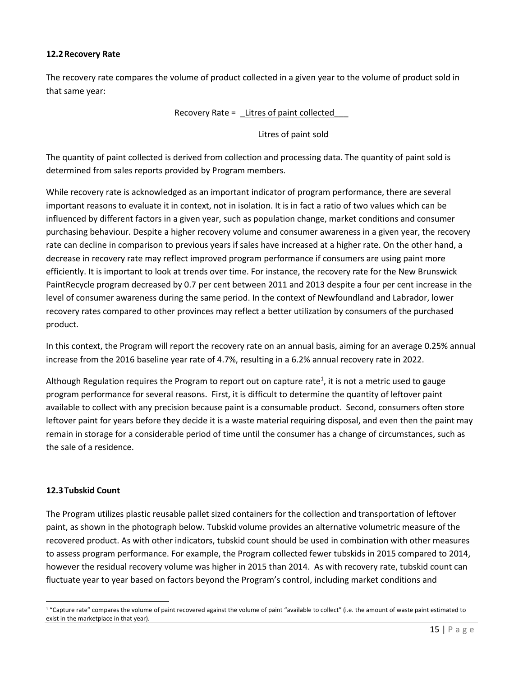#### <span id="page-16-0"></span>**12.2Recovery Rate**

The recovery rate compares the volume of product collected in a given year to the volume of product sold in that same year:

Recovery Rate = Litres of paint collected

Litres of paint sold

The quantity of paint collected is derived from collection and processing data. The quantity of paint sold is determined from sales reports provided by Program members.

While recovery rate is acknowledged as an important indicator of program performance, there are several important reasons to evaluate it in context, not in isolation. It is in fact a ratio of two values which can be influenced by different factors in a given year, such as population change, market conditions and consumer purchasing behaviour. Despite a higher recovery volume and consumer awareness in a given year, the recovery rate can decline in comparison to previous years if sales have increased at a higher rate. On the other hand, a decrease in recovery rate may reflect improved program performance if consumers are using paint more efficiently. It is important to look at trends over time. For instance, the recovery rate for the New Brunswick PaintRecycle program decreased by 0.7 per cent between 2011 and 2013 despite a four per cent increase in the level of consumer awareness during the same period. In the context of Newfoundland and Labrador, lower recovery rates compared to other provinces may reflect a better utilization by consumers of the purchased product.

In this context, the Program will report the recovery rate on an annual basis, aiming for an average 0.25% annual increase from the 2016 baseline year rate of 4.7%, resulting in a 6.2% annual recovery rate in 2022.

Although Regulation requires the Program to report out on capture rate<sup>1</sup>, it is not a metric used to gauge program performance for several reasons. First, it is difficult to determine the quantity of leftover paint available to collect with any precision because paint is a consumable product. Second, consumers often store leftover paint for years before they decide it is a waste material requiring disposal, and even then the paint may remain in storage for a considerable period of time until the consumer has a change of circumstances, such as the sale of a residence.

#### <span id="page-16-1"></span>**12.3Tubskid Count**

The Program utilizes plastic reusable pallet sized containers for the collection and transportation of leftover paint, as shown in the photograph below. Tubskid volume provides an alternative volumetric measure of the recovered product. As with other indicators, tubskid count should be used in combination with other measures to assess program performance. For example, the Program collected fewer tubskids in 2015 compared to 2014, however the residual recovery volume was higher in 2015 than 2014. As with recovery rate, tubskid count can fluctuate year to year based on factors beyond the Program's control, including market conditions and

 $\ddot{\phantom{a}}$ <sup>1</sup> "Capture rate" compares the volume of paint recovered against the volume of paint "available to collect" (i.e. the amount of waste paint estimated to exist in the marketplace in that year).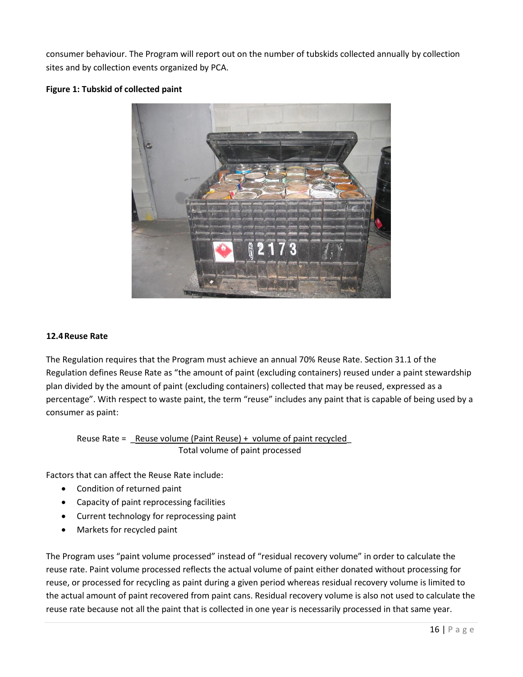consumer behaviour. The Program will report out on the number of tubskids collected annually by collection sites and by collection events organized by PCA.

**Figure 1: Tubskid of collected paint**



#### <span id="page-17-0"></span>**12.4Reuse Rate**

The Regulation requires that the Program must achieve an annual 70% Reuse Rate. Section 31.1 of the Regulation defines Reuse Rate as "the amount of paint (excluding containers) reused under a paint stewardship plan divided by the amount of paint (excluding containers) collected that may be reused, expressed as a percentage". With respect to waste paint, the term "reuse" includes any paint that is capable of being used by a consumer as paint:

Reuse Rate =  $\leq$  Reuse volume (Paint Reuse) + volume of paint recycled Total volume of paint processed

Factors that can affect the Reuse Rate include:

- Condition of returned paint
- Capacity of paint reprocessing facilities
- Current technology for reprocessing paint
- Markets for recycled paint

The Program uses "paint volume processed" instead of "residual recovery volume" in order to calculate the reuse rate. Paint volume processed reflects the actual volume of paint either donated without processing for reuse, or processed for recycling as paint during a given period whereas residual recovery volume is limited to the actual amount of paint recovered from paint cans. Residual recovery volume is also not used to calculate the reuse rate because not all the paint that is collected in one year is necessarily processed in that same year.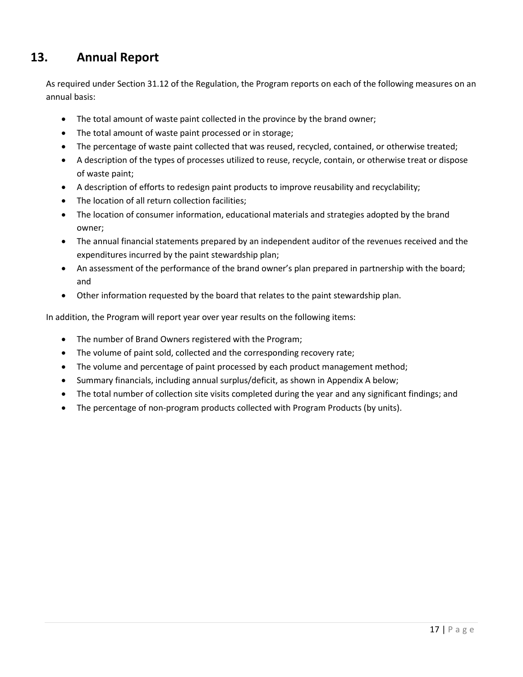# <span id="page-18-0"></span>**13. Annual Report**

As required under Section 31.12 of the Regulation, the Program reports on each of the following measures on an annual basis:

- The total amount of waste paint collected in the province by the brand owner;
- The total amount of waste paint processed or in storage;
- The percentage of waste paint collected that was reused, recycled, contained, or otherwise treated;
- A description of the types of processes utilized to reuse, recycle, contain, or otherwise treat or dispose of waste paint;
- A description of efforts to redesign paint products to improve reusability and recyclability;
- The location of all return collection facilities;
- The location of consumer information, educational materials and strategies adopted by the brand owner;
- The annual financial statements prepared by an independent auditor of the revenues received and the expenditures incurred by the paint stewardship plan;
- An assessment of the performance of the brand owner's plan prepared in partnership with the board; and
- Other information requested by the board that relates to the paint stewardship plan.

In addition, the Program will report year over year results on the following items:

- The number of Brand Owners registered with the Program;
- The volume of paint sold, collected and the corresponding recovery rate;
- The volume and percentage of paint processed by each product management method;
- Summary financials, including annual surplus/deficit, as shown in Appendix A below;
- The total number of collection site visits completed during the year and any significant findings; and
- The percentage of non-program products collected with Program Products (by units).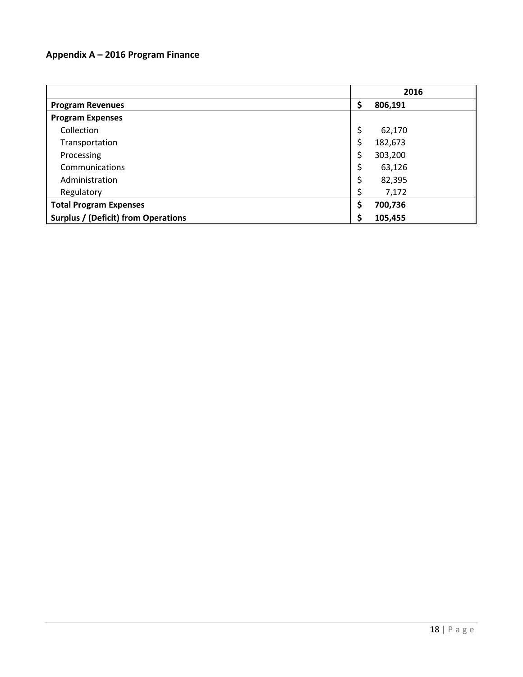### <span id="page-19-0"></span>**Appendix A – 2016 Program Finance**

|                                            |    | 2016    |
|--------------------------------------------|----|---------|
| <b>Program Revenues</b>                    | \$ | 806,191 |
| <b>Program Expenses</b>                    |    |         |
| Collection                                 | \$ | 62,170  |
| Transportation                             | \$ | 182,673 |
| Processing                                 | \$ | 303,200 |
| Communications                             | \$ | 63,126  |
| Administration                             | \$ | 82,395  |
| Regulatory                                 | \$ | 7,172   |
| <b>Total Program Expenses</b>              |    | 700,736 |
| <b>Surplus / (Deficit) from Operations</b> |    | 105,455 |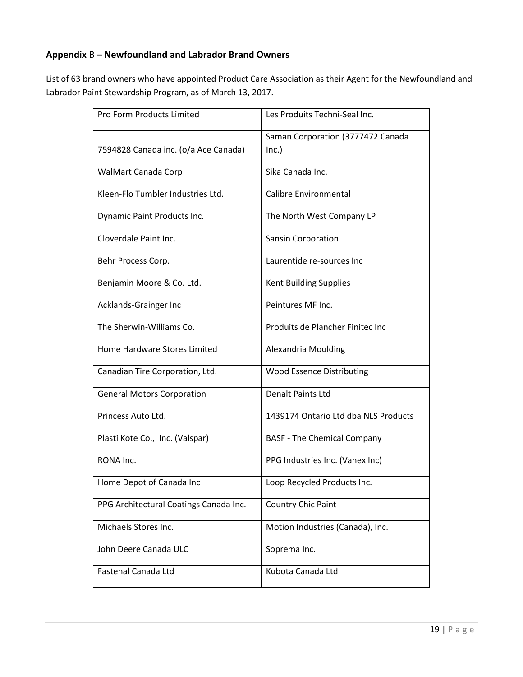### <span id="page-20-0"></span>**Appendix** B – **Newfoundland and Labrador Brand Owners**

List of 63 brand owners who have appointed Product Care Association as their Agent for the Newfoundland and Labrador Paint Stewardship Program, as of March 13, 2017.

| Pro Form Products Limited              | Les Produits Techni-Seal Inc.        |
|----------------------------------------|--------------------------------------|
|                                        | Saman Corporation (3777472 Canada    |
|                                        |                                      |
| 7594828 Canada inc. (o/a Ace Canada)   | Inc.)                                |
| WalMart Canada Corp                    | Sika Canada Inc.                     |
|                                        |                                      |
| Kleen-Flo Tumbler Industries Ltd.      | Calibre Environmental                |
|                                        |                                      |
| Dynamic Paint Products Inc.            | The North West Company LP            |
| Cloverdale Paint Inc.                  | Sansin Corporation                   |
|                                        |                                      |
| Behr Process Corp.                     | Laurentide re-sources Inc            |
|                                        |                                      |
|                                        |                                      |
| Benjamin Moore & Co. Ltd.              | <b>Kent Building Supplies</b>        |
| Acklands-Grainger Inc                  | Peintures MF Inc.                    |
|                                        |                                      |
| The Sherwin-Williams Co.               |                                      |
|                                        | Produits de Plancher Finitec Inc     |
|                                        |                                      |
| Home Hardware Stores Limited           | Alexandria Moulding                  |
|                                        |                                      |
| Canadian Tire Corporation, Ltd.        | <b>Wood Essence Distributing</b>     |
|                                        |                                      |
| <b>General Motors Corporation</b>      | <b>Denalt Paints Ltd</b>             |
|                                        |                                      |
| Princess Auto Ltd.                     | 1439174 Ontario Ltd dba NLS Products |
|                                        |                                      |
| Plasti Kote Co., Inc. (Valspar)        | <b>BASF - The Chemical Company</b>   |
|                                        |                                      |
| RONA Inc.                              | PPG Industries Inc. (Vanex Inc)      |
|                                        |                                      |
| Home Depot of Canada Inc               | Loop Recycled Products Inc.          |
|                                        |                                      |
| PPG Architectural Coatings Canada Inc. | <b>Country Chic Paint</b>            |
|                                        |                                      |
| Michaels Stores Inc.                   | Motion Industries (Canada), Inc.     |
|                                        |                                      |
| John Deere Canada ULC                  | Soprema Inc.                         |
|                                        |                                      |
|                                        |                                      |
| Fastenal Canada Ltd                    | Kubota Canada Ltd                    |
|                                        |                                      |